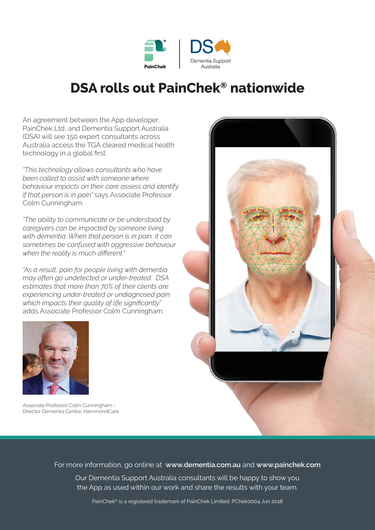

## **DSA rolls out PainChek® nationwide**

An agreement between the App developer, PainChek Ltd, and Dementia Support Australia (DSA) will see 150 expert consultants across Australia access the TGA cleared medical health technology in a global first.

*"This technology allows consultants who have been called to assist with someone where behaviour impacts on their care assess and identify if that person is in pain"* says Associate Professor Colm Cunningham.

*"The ability to communicate or be understood by caregivers can be impacted by someone living with dementia. When that person is in pain, it can sometimes be confused with aggressive behaviour when the reality is much different."*

*"As a result, pain for people living with dementia may often go undetected or under-treated. DSA estimates that more than 70% of their clients are experiencing under-treated or undiagnosed pain which impacts their quality of life significantly"*  adds Associate Professor Colm Cunningham.



Associate Professor Colm Cunningham - Director Dementia Centre, HammondCare



For more information, go online at **www.dementia.com.au** and **www.painchek.com**

Our Dementia Support Australia consultants will be happy to show you the App as used within our work and share the results with your team.